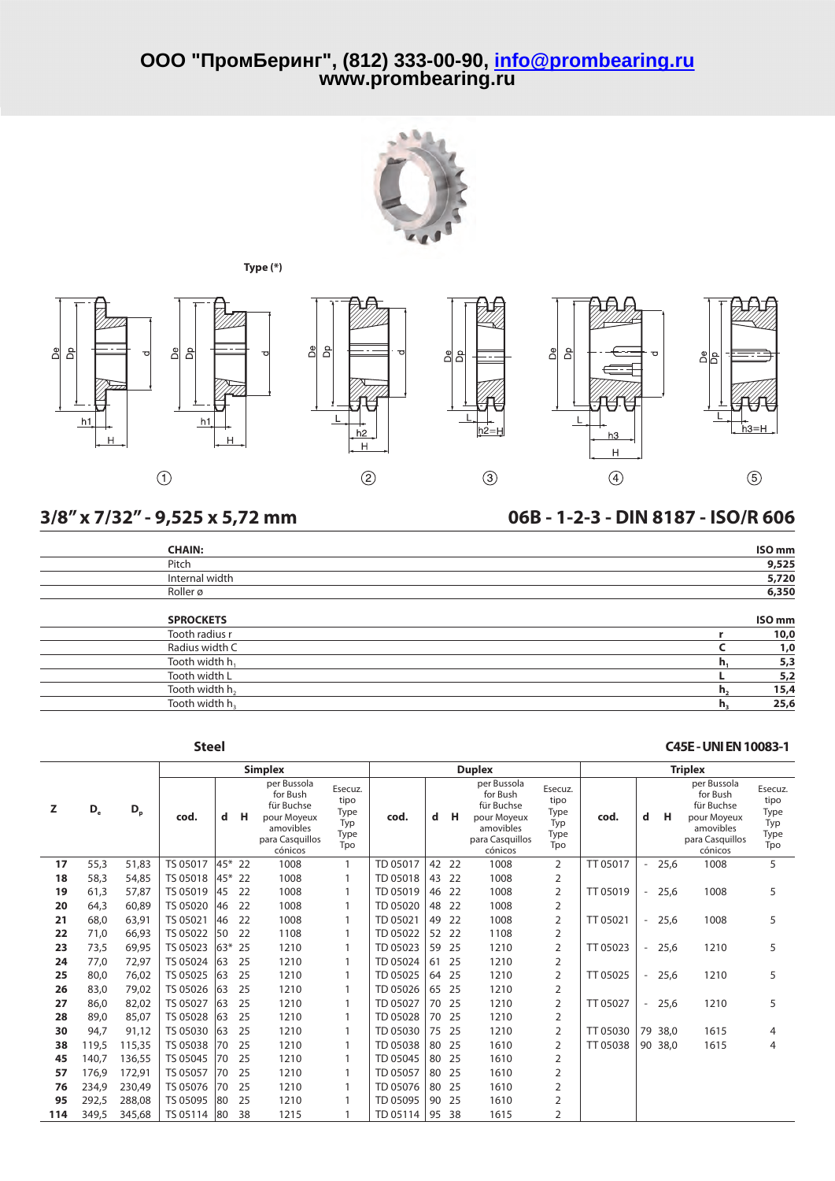





## **3/8" x 7/32" - 9,525 x 5,72 mm 06B - 1-2-3 - DIN 8187 - ISO/R 606**

## **CHAIN: ISO mm** Pitch **9,525** Internal width **5,720** Roller ø **6,350**

| <b>SPROCKETS</b>           |    | <b>ISO</b> mm |
|----------------------------|----|---------------|
| Tooth radius r             |    | 10,0          |
| Radius width C             |    | 1,0           |
| Tooth width $h_1$          |    | 5,3           |
| Tooth width L              |    | 5,2           |
| Tooth width h <sub>2</sub> | n, | 15,4          |
| Tooth width h <sub>3</sub> |    | 25,6          |

## **Z D<sup>e</sup> D<sup>p</sup> Simplex Duplex Triplex cod. d H** per Bussola for Bush für Buchse pour Moyeux amovibles para Casquillos cónicos Esecuz. tipo Type Typ Type Tpo **cod. d H** per Bussola for Bush für Buchse pour Moyeux amovibles para Casquillos cónicos Esecuz. tipo Type Typ Type Tpo **cod. d H** per Bussola for Bush für Buchse pour Moyeux amovibles para Casquillos cónicos Esecuz. tipo Type Typ Type Tpo **17** 55,3 51,83 TS 05017 45\* 22 1008 1 TD 05017 42 22 1008 2 TT 05017 - 25,6 1008 5 **18** 58,3 54,85 TS 05018 45\* 22 1008 1 TD 05018 43 22 1008 2 **19** 61,3 57,87 TS 05019 45 22 1008 1 TD 05019 46 22 1008 2 TT 05019 - 25,6 1008 5 **20** 64,3 60,89 TS 05020 46 22 1008 1 TD 05020 48 22 1008 2 **21** 68,0 63,91 TS 05021 46 22 1008 1 TD 05021 49 22 1008 2 TT 05021 - 25,6 1008 5 **22** 71,0 66,93 TS 05022 50 22 1108 1 TD 05022 52 22 1108 2 **23** 73,5 69,95 TS 05023 63\* 25 1210 1 TD 05023 59 25 1210 2 TT 05023 - 25,6 1210 5 **24** 77,0 72,97 TS 05024 63 25 1210 1 TD 05024 61 25 1210 2 **25** 80,0 76,02 | TS 05025 |63 25 1210 1 | TD 05025 | 64 25 1210 2 | TT 05025 | - 25,6 1210 5 **26** 83,0 79,02 TS 05026 63 25 1210 1 TD 05026 65 25 1210 2 **27** 86,0 82,02 | TS 05027 |63 25 1210 1 | TD 05027 | 70 25 1210 2 | TT 05027 | - 25,6 1210 5 **28** 89,0 85,07 TS 05028 63 25 1210 1 TD 05028 70 25 1210 2 **30** 94,7 91,12 TS 05030 63 25 1210 1 TD 05030 75 25 1210 2 TT 05030 79 38,0 1615 4 **38** 119,5 115,35 | TS 05038 |70 25 1210 1 | TD 05038 | 80 25 1610 2 | TT 05038 | 90 38,0 1615 4 **45** 140,7 136,55 TS 05045 70 25 1210 1 TD 05045 80 25 1610 2 **57** 176,9 172,91 | TS 05057 | 70 25 1210 1 | TD 05057 | 80 25 1610 2 **Steel C45E-UNIEN10083-1**

**76** 234,9 230,49 TS 05076 70 25 1210 1 TD 05076 80 25 1610 2 **95** 292,5 288,08 TS 05095 80 25 1210 1 TD 05095 90 25 1610 2 **114** 349,5 345,68 TS 05114 80 38 1215 1 TD 05114 95 38 1615 2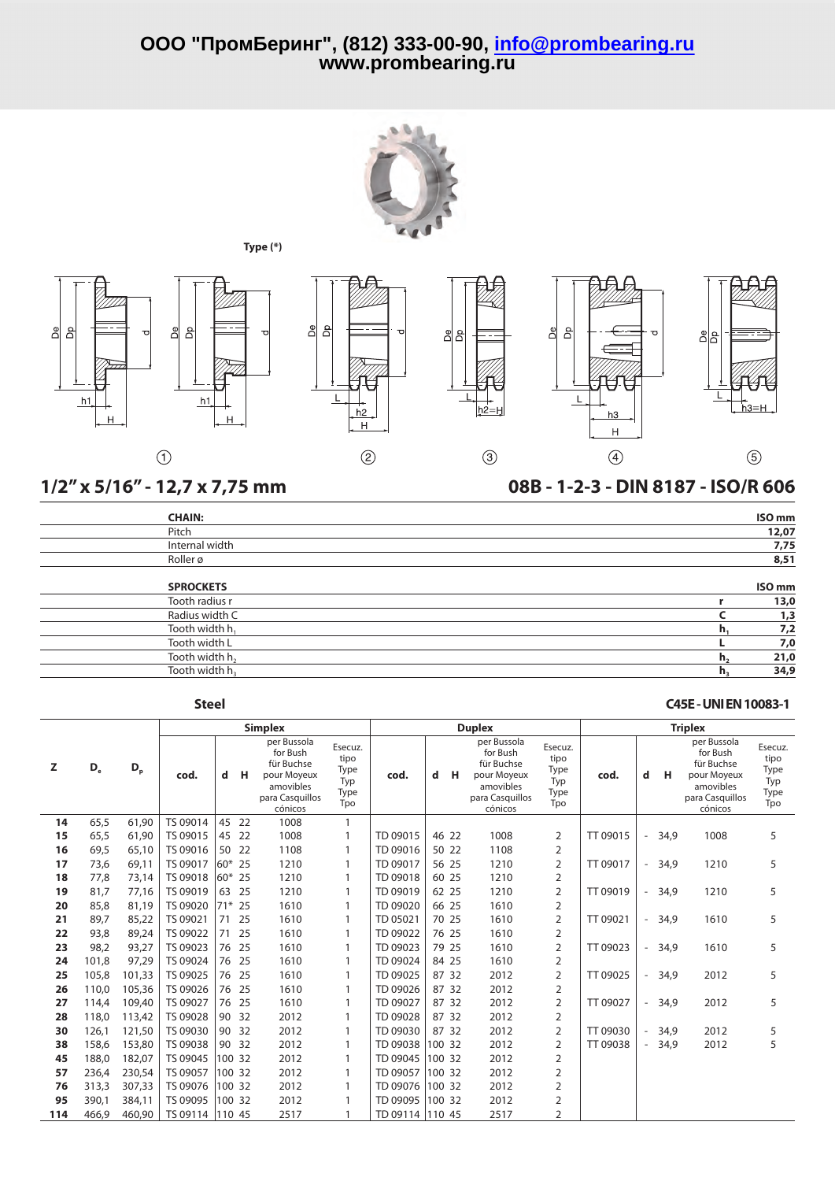





## **1/2" x 5/16" - 12,7 x 7,75 mm 08B - 1-2-3 - DIN 8187 - ISO/R 606**

| <b>CHAIN:</b>              |                | ISO <sub>mm</sub> |
|----------------------------|----------------|-------------------|
| Pitch                      |                | 12,07             |
| Internal width             |                | 7,75              |
| Roller ø                   |                | 8,51              |
| <b>SPROCKETS</b>           |                | ISO <sub>mm</sub> |
| Tooth radius r             |                | 13,0              |
| Radius width C             |                | 1,3               |
| Tooth width h <sub>1</sub> | h,             | 7,2               |
| Tooth width L              |                | 7,0               |
| Tooth width h <sub>2</sub> | h,             | 21,0              |
| Tooth width h <sub>3</sub> | h <sub>3</sub> | 34,9              |

## **Steel C45E-UNIEN10083-1**

|     |       |         |          |        |        | <b>Simplex</b>                                                                                  |                                               |                 |   |        | <b>Duplex</b>                                                                                   |                                               | <b>Triplex</b> |                          |      |                                                                                                 |                                               |  |
|-----|-------|---------|----------|--------|--------|-------------------------------------------------------------------------------------------------|-----------------------------------------------|-----------------|---|--------|-------------------------------------------------------------------------------------------------|-----------------------------------------------|----------------|--------------------------|------|-------------------------------------------------------------------------------------------------|-----------------------------------------------|--|
| z   | $D_e$ | $D_{p}$ | cod.     | d      | н      | per Bussola<br>for Bush<br>für Buchse<br>pour Moyeux<br>amovibles<br>para Casquillos<br>cónicos | Esecuz.<br>tipo<br>Type<br>Typ<br>Type<br>Tpo | cod.            | d | н      | per Bussola<br>for Bush<br>für Buchse<br>pour Moyeux<br>amovibles<br>para Casquillos<br>cónicos | Esecuz.<br>tipo<br>Type<br>Typ<br>Type<br>Tpo | cod.           | d                        | н    | per Bussola<br>for Bush<br>für Buchse<br>pour Moyeux<br>amovibles<br>para Casquillos<br>cónicos | Esecuz.<br>tipo<br>Type<br>Typ<br>Type<br>Tpo |  |
| 14  | 65,5  | 61,90   | TS 09014 | 45     | 22     | 1008                                                                                            | $\mathbf{1}$                                  |                 |   |        |                                                                                                 |                                               |                |                          |      |                                                                                                 |                                               |  |
| 15  | 65.5  | 61,90   | TS 09015 | 45     | -22    | 1008                                                                                            | 1                                             | TD 09015        |   | 46 22  | 1008                                                                                            | 2                                             | TT 09015       | $\overline{\phantom{a}}$ | 34.9 | 1008                                                                                            | 5                                             |  |
| 16  | 69,5  | 65,10   | TS 09016 | 50     | 22     | 1108                                                                                            | 1                                             | TD 09016        |   | 50 22  | 1108                                                                                            | $\overline{2}$                                |                |                          |      |                                                                                                 |                                               |  |
| 17  | 73,6  | 69,11   | TS 09017 | 60*    | 25     | 1210                                                                                            | 1                                             | TD 09017        |   | 56 25  | 1210                                                                                            | 2                                             | TT 09017       | $\overline{\phantom{a}}$ | 34,9 | 1210                                                                                            | 5                                             |  |
| 18  | 77,8  | 73,14   | TS 09018 | 60*    | 25     | 1210                                                                                            | 1                                             | TD 09018        |   | 60 25  | 1210                                                                                            | 2                                             |                |                          |      |                                                                                                 |                                               |  |
| 19  | 81.7  | 77,16   | TS 09019 | 63     | 25     | 1210                                                                                            | $\mathbf{1}$                                  | TD 09019        |   | 62 25  | 1210                                                                                            | $\overline{2}$                                | TT 09019       | $\overline{\phantom{a}}$ | 34.9 | 1210                                                                                            | 5                                             |  |
| 20  | 85,8  | 81,19   | TS 09020 | $71*$  | 25     | 1610                                                                                            | 1                                             | TD 09020        |   | 66 25  | 1610                                                                                            | $\overline{2}$                                |                |                          |      |                                                                                                 |                                               |  |
| 21  | 89,7  | 85,22   | TS 09021 | 71     | 25     | 1610                                                                                            | 1                                             | TD 05021        |   | 70 25  | 1610                                                                                            | 2                                             | TT 09021       | $\overline{\phantom{a}}$ | 34,9 | 1610                                                                                            | 5                                             |  |
| 22  | 93.8  | 89.24   | TS 09022 | 71     | 25     | 1610                                                                                            | 1                                             | TD 09022        |   | 76 25  | 1610                                                                                            | 2                                             |                |                          |      |                                                                                                 |                                               |  |
| 23  | 98,2  | 93,27   | TS 09023 | 76     | 25     | 1610                                                                                            | $\mathbf{1}$                                  | TD 09023        |   | 79 25  | 1610                                                                                            | 2                                             | TT 09023       | $\overline{\phantom{a}}$ | 34,9 | 1610                                                                                            | 5                                             |  |
| 24  | 101,8 | 97,29   | TS 09024 | 76     | 25     | 1610                                                                                            | $\mathbf{1}$                                  | TD 09024        |   | 84 25  | 1610                                                                                            | $\overline{2}$                                |                |                          |      |                                                                                                 |                                               |  |
| 25  | 105,8 | 101,33  | TS 09025 | 76     | 25     | 1610                                                                                            | 1                                             | TD 09025        |   | 87 32  | 2012                                                                                            | $\overline{2}$                                | TT 09025       | $\overline{\phantom{a}}$ | 34,9 | 2012                                                                                            | 5                                             |  |
| 26  | 110,0 | 105,36  | TS 09026 | 76     | 25     | 1610                                                                                            | 1                                             | TD 09026        |   | 87 32  | 2012                                                                                            | $\overline{2}$                                |                |                          |      |                                                                                                 |                                               |  |
| 27  | 114,4 | 109,40  | TS 09027 |        | 76 25  | 1610                                                                                            |                                               | TD 09027        |   | 87 32  | 2012                                                                                            | 2                                             | TT 09027       | $\overline{\phantom{a}}$ | 34,9 | 2012                                                                                            | 5                                             |  |
| 28  | 118,0 | 113,42  | TS 09028 | 90     | 32     | 2012                                                                                            | 1                                             | TD 09028        |   | 87 32  | 2012                                                                                            | $\overline{2}$                                |                |                          |      |                                                                                                 |                                               |  |
| 30  | 126,1 | 121,50  | TS 09030 | 90     | 32     | 2012                                                                                            | 1                                             | TD 09030        |   | 87 32  | 2012                                                                                            | 2                                             | TT 09030       | $\sim$                   | 34,9 | 2012                                                                                            | 5                                             |  |
| 38  | 158,6 | 153,80  | TS 09038 | 90     | 32     | 2012                                                                                            | 1                                             | TD 09038        |   | 100 32 | 2012                                                                                            | 2                                             | TT 09038       | $\overline{\phantom{a}}$ | 34,9 | 2012                                                                                            | 5                                             |  |
| 45  | 188,0 | 182,07  | TS 09045 |        | 100 32 | 2012                                                                                            | 1                                             | TD 09045        |   | 100 32 | 2012                                                                                            | 2                                             |                |                          |      |                                                                                                 |                                               |  |
| 57  | 236,4 | 230,54  | TS 09057 | 100 32 |        | 2012                                                                                            | 1                                             | TD 09057        |   | 100 32 | 2012                                                                                            | 2                                             |                |                          |      |                                                                                                 |                                               |  |
| 76  | 313,3 | 307,33  | TS 09076 | 100 32 |        | 2012                                                                                            | $\mathbf{1}$                                  | TD 09076        |   | 100 32 | 2012                                                                                            | 2                                             |                |                          |      |                                                                                                 |                                               |  |
| 95  | 390.1 | 384,11  | TS 09095 | 100 32 |        | 2012                                                                                            | 1                                             | TD 09095        |   | 100 32 | 2012                                                                                            | $\overline{2}$                                |                |                          |      |                                                                                                 |                                               |  |
| 114 | 466,9 | 460,90  | TS 09114 | 110 45 |        | 2517                                                                                            | $\mathbf{1}$                                  | TD 09114 110 45 |   |        | 2517                                                                                            | $\overline{2}$                                |                |                          |      |                                                                                                 |                                               |  |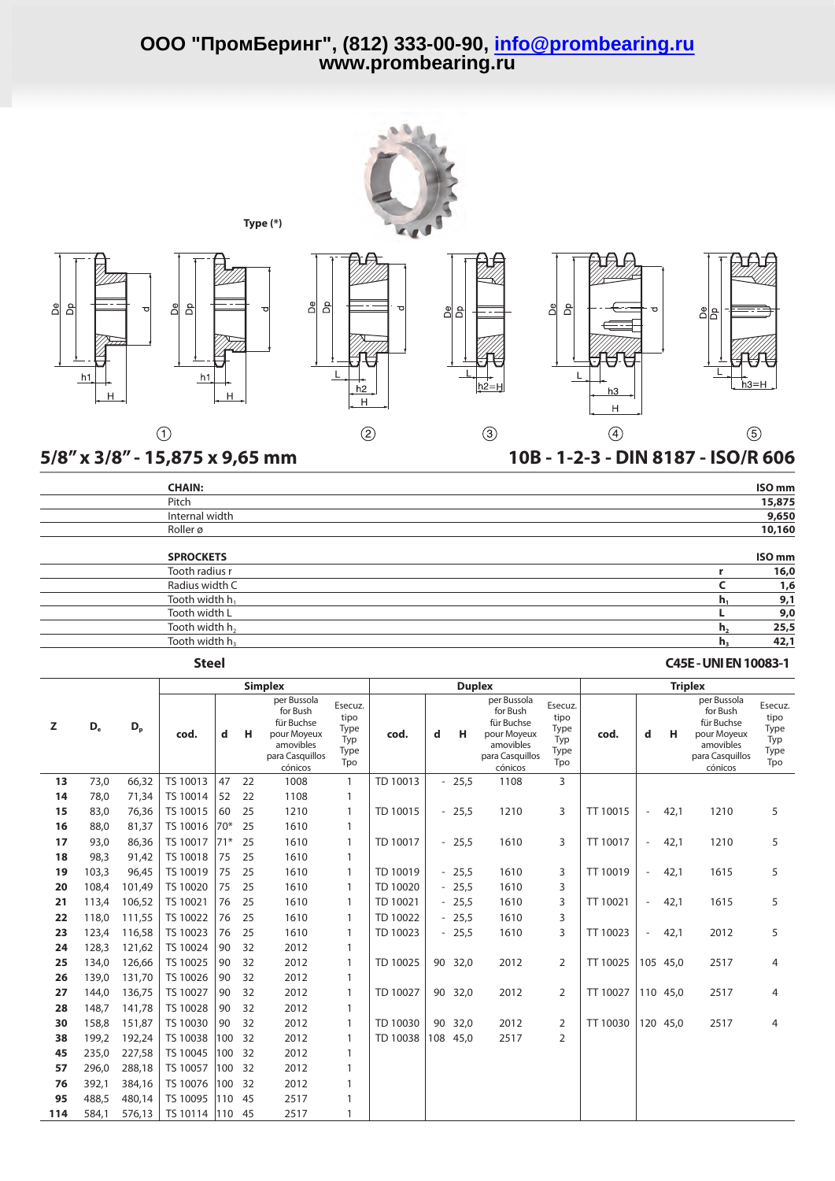

| <b>CHAIN:</b>              | ISO <sub>mm</sub>      |
|----------------------------|------------------------|
| Pitch                      | 15,875                 |
| Internal width             | 9,650                  |
| Roller ø                   | 10,160                 |
| <b>SPROCKETS</b>           | ISO <sub>mm</sub>      |
| Tooth radius r             | 16,0                   |
| Radius width C             | 1,6                    |
| Tooth width h <sub>1</sub> | 9,1<br>n.              |
| Tooth width L              | 9,0                    |
| Tooth width h <sub>2</sub> | 25,5<br>h <sub>2</sub> |
| Tooth width h <sub>3</sub> | 42,1<br>$h_{\rm a}$    |

## **Steel C45E-UNIEN10083-1**

|     |                |         |          |       |    | <b>Simplex</b>                                                                                  |                                               |          |     | <b>Duplex</b> |                                                                                                 |                                               | <b>Triplex</b> |                          |          |                                                                                                 |                                               |  |
|-----|----------------|---------|----------|-------|----|-------------------------------------------------------------------------------------------------|-----------------------------------------------|----------|-----|---------------|-------------------------------------------------------------------------------------------------|-----------------------------------------------|----------------|--------------------------|----------|-------------------------------------------------------------------------------------------------|-----------------------------------------------|--|
| z   | D <sub>e</sub> | $D_{p}$ | cod.     | d     | н  | per Bussola<br>for Bush<br>für Buchse<br>pour Moyeux<br>amovibles<br>para Casquillos<br>cónicos | Esecuz.<br>tipo<br>Type<br>Typ<br>Type<br>Tpo | cod.     | d   | н             | per Bussola<br>for Bush<br>für Buchse<br>pour Moyeux<br>amovibles<br>para Casquillos<br>cónicos | Esecuz.<br>tipo<br>Type<br>Typ<br>Type<br>Tpo | cod.           | d                        | н        | per Bussola<br>for Bush<br>für Buchse<br>pour Moyeux<br>amovibles<br>para Casquillos<br>cónicos | Esecuz.<br>tipo<br>Type<br>Typ<br>Type<br>Tpo |  |
| 13  | 73,0           | 66,32   | TS 10013 | 47    | 22 | 1008                                                                                            | $\mathbf{1}$                                  | TD 10013 |     | $-25,5$       | 1108                                                                                            | 3                                             |                |                          |          |                                                                                                 |                                               |  |
| 14  | 78.0           | 71,34   | TS 10014 | 52    | 22 | 1108                                                                                            | 1                                             |          |     |               |                                                                                                 |                                               |                |                          |          |                                                                                                 |                                               |  |
| 15  | 83,0           | 76,36   | TS 10015 | 60    | 25 | 1210                                                                                            | 1                                             | TD 10015 |     | $-25,5$       | 1210                                                                                            | 3                                             | TT 10015       | $\overline{\phantom{a}}$ | 42,1     | 1210                                                                                            | 5                                             |  |
| 16  | 88,0           | 81,37   | TS 10016 | $70*$ | 25 | 1610                                                                                            | 1                                             |          |     |               |                                                                                                 |                                               |                |                          |          |                                                                                                 |                                               |  |
| 17  | 93.0           | 86,36   | TS 10017 | $71*$ | 25 | 1610                                                                                            | 1                                             | TD 10017 |     | $-25,5$       | 1610                                                                                            | 3                                             | TT 10017       | $-$                      | 42,1     | 1210                                                                                            | 5                                             |  |
| 18  | 98,3           | 91,42   | TS 10018 | 75    | 25 | 1610                                                                                            | 1                                             |          |     |               |                                                                                                 |                                               |                |                          |          |                                                                                                 |                                               |  |
| 19  | 103,3          | 96.45   | TS 10019 | 75    | 25 | 1610                                                                                            | 1                                             | TD 10019 |     | $-25,5$       | 1610                                                                                            | 3                                             | TT 10019       | $\overline{\phantom{a}}$ | 42,1     | 1615                                                                                            | 5                                             |  |
| 20  | 108.4          | 101.49  | TS 10020 | 75    | 25 | 1610                                                                                            | 1                                             | TD 10020 |     | $-25,5$       | 1610                                                                                            | 3                                             |                |                          |          |                                                                                                 |                                               |  |
| 21  | 113,4          | 106,52  | TS 10021 | 76    | 25 | 1610                                                                                            | 1                                             | TD 10021 |     | $-25,5$       | 1610                                                                                            | 3                                             | TT 10021       | $\overline{\phantom{a}}$ | 42,1     | 1615                                                                                            | 5                                             |  |
| 22  | 118,0          | 111,55  | TS 10022 | 76    | 25 | 1610                                                                                            | 1                                             | TD 10022 |     | $-25,5$       | 1610                                                                                            | 3                                             |                |                          |          |                                                                                                 |                                               |  |
| 23  | 123,4          | 116,58  | TS 10023 | 76    | 25 | 1610                                                                                            | 1                                             | TD 10023 |     | $-25,5$       | 1610                                                                                            | 3                                             | TT 10023       | $\overline{\phantom{a}}$ | 42,1     | 2012                                                                                            | 5                                             |  |
| 24  | 128,3          | 121,62  | TS 10024 | 90    | 32 | 2012                                                                                            | 1                                             |          |     |               |                                                                                                 |                                               |                |                          |          |                                                                                                 |                                               |  |
| 25  | 134.0          | 126.66  | TS 10025 | 90    | 32 | 2012                                                                                            | 1                                             | TD 10025 |     | 90 32,0       | 2012                                                                                            | 2                                             | TT 10025       |                          | 105 45.0 | 2517                                                                                            | 4                                             |  |
| 26  | 139.0          | 131.70  | TS 10026 | 90    | 32 | 2012                                                                                            | 1                                             |          |     |               |                                                                                                 |                                               |                |                          |          |                                                                                                 |                                               |  |
| 27  | 144.0          | 136,75  | TS 10027 | 90    | 32 | 2012                                                                                            | 1                                             | TD 10027 | 90  | 32,0          | 2012                                                                                            | 2                                             | TT 10027       |                          | 110 45.0 | 2517                                                                                            | 4                                             |  |
| 28  | 148,7          | 141,78  | TS 10028 | 90    | 32 | 2012                                                                                            | 1                                             |          |     |               |                                                                                                 |                                               |                |                          |          |                                                                                                 |                                               |  |
| 30  | 158,8          | 151,87  | TS 10030 | 90    | 32 | 2012                                                                                            | 1                                             | TD 10030 | 90  | 32,0          | 2012                                                                                            | 2                                             | TT 10030       |                          | 120 45,0 | 2517                                                                                            | 4                                             |  |
| 38  | 199,2          | 192,24  | TS 10038 | 100   | 32 | 2012                                                                                            | 1                                             | TD 10038 | 108 | 45,0          | 2517                                                                                            | 2                                             |                |                          |          |                                                                                                 |                                               |  |
| 45  | 235,0          | 227,58  | TS 10045 | 100   | 32 | 2012                                                                                            | 1                                             |          |     |               |                                                                                                 |                                               |                |                          |          |                                                                                                 |                                               |  |
| 57  | 296,0          | 288,18  | TS 10057 | 100   | 32 | 2012                                                                                            | $\mathbf{1}$                                  |          |     |               |                                                                                                 |                                               |                |                          |          |                                                                                                 |                                               |  |
| 76  | 392,1          | 384,16  | TS 10076 | 100   | 32 | 2012                                                                                            | 1                                             |          |     |               |                                                                                                 |                                               |                |                          |          |                                                                                                 |                                               |  |
| 95  | 488,5          | 480.14  | TS 10095 | 110   | 45 | 2517                                                                                            | 1                                             |          |     |               |                                                                                                 |                                               |                |                          |          |                                                                                                 |                                               |  |
| 114 | 584,1          | 576,13  | TS 10114 | 110   | 45 | 2517                                                                                            | $\mathbf{1}$                                  |          |     |               |                                                                                                 |                                               |                |                          |          |                                                                                                 |                                               |  |
|     |                |         |          |       |    |                                                                                                 |                                               |          |     |               |                                                                                                 |                                               |                |                          |          |                                                                                                 |                                               |  |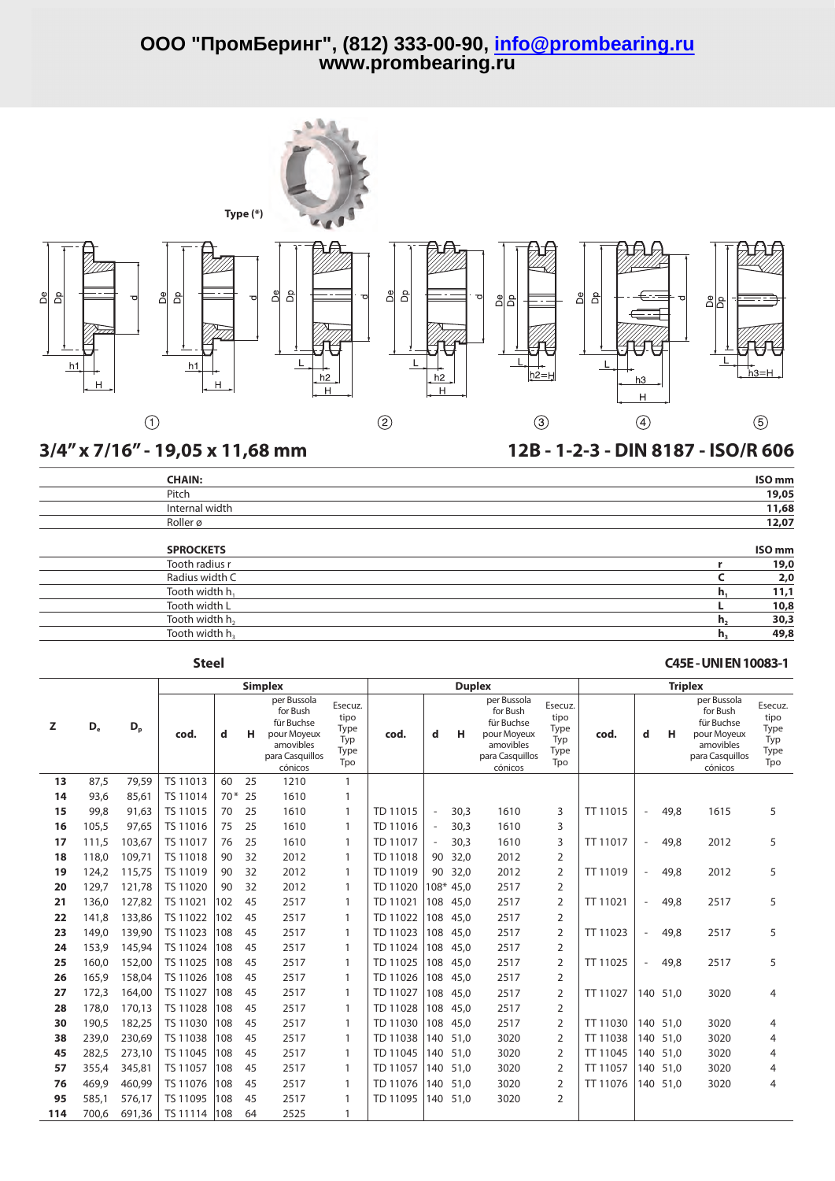![](_page_3_Figure_1.jpeg)

## **3/4" x 7/16" - 19,05 x 11,68 mm 12B - 1-2-3 - DIN 8187 - ISO/R 606**

| <b>CHAIN:</b>              | ISO <sub>mm</sub>   |
|----------------------------|---------------------|
| Pitch                      | 19,05               |
| Internal width             | 11,68               |
| Roller ø                   | 12,07               |
| <b>SPROCKETS</b>           | ISO <sub>mm</sub>   |
| Tooth radius r             | 19,0                |
| Radius width C             | 2,0                 |
| Tooth width h,             | 11,1<br>n.          |
| Tooth width L              | 10,8                |
| Tooth width h <sub>2</sub> | 30,3<br>h,          |
| Tooth width h <sub>3</sub> | 49,8<br>$n_{\rm a}$ |

## **Steel C45E-UNIEN10083-1**

|     |                |                |          |       |    | <b>Simplex</b>                                                                                  |                                               |          | <b>Duplex</b>            |          | <b>Triplex</b>                                                                                  |                                               |          |                          |          |                                                                                                 |                                               |
|-----|----------------|----------------|----------|-------|----|-------------------------------------------------------------------------------------------------|-----------------------------------------------|----------|--------------------------|----------|-------------------------------------------------------------------------------------------------|-----------------------------------------------|----------|--------------------------|----------|-------------------------------------------------------------------------------------------------|-----------------------------------------------|
| z   | D <sub>e</sub> | D <sub>p</sub> | cod.     | d     | н  | per Bussola<br>for Bush<br>für Buchse<br>pour Moyeux<br>amovibles<br>para Casquillos<br>cónicos | Esecuz.<br>tipo<br>Type<br>Typ<br>Type<br>Tpo | cod.     | d                        | н        | per Bussola<br>for Bush<br>für Buchse<br>pour Moyeux<br>amovibles<br>para Casquillos<br>cónicos | Esecuz.<br>tipo<br>Type<br>Typ<br>Type<br>Tpo | cod.     | d                        | н        | per Bussola<br>for Bush<br>für Buchse<br>pour Moyeux<br>amovibles<br>para Casquillos<br>cónicos | Esecuz.<br>tipo<br>Type<br>Typ<br>Type<br>Tpo |
| 13  | 87,5           | 79,59          | TS 11013 | 60    | 25 | 1210                                                                                            | $\mathbf{1}$                                  |          |                          |          |                                                                                                 |                                               |          |                          |          |                                                                                                 |                                               |
| 14  | 93,6           | 85,61          | TS 11014 | $70*$ | 25 | 1610                                                                                            | $\mathbf{1}$                                  |          |                          |          |                                                                                                 |                                               |          |                          |          |                                                                                                 |                                               |
| 15  | 99,8           | 91,63          | TS 11015 | 70    | 25 | 1610                                                                                            | 1                                             | TD 11015 | $\overline{\phantom{a}}$ | 30,3     | 1610                                                                                            | 3                                             | TT 11015 | $\overline{\phantom{a}}$ | 49.8     | 1615                                                                                            | 5                                             |
| 16  | 105.5          | 97.65          | TS 11016 | 75    | 25 | 1610                                                                                            | $\mathbf{1}$                                  | TD 11016 | $\overline{\phantom{a}}$ | 30.3     | 1610                                                                                            | 3                                             |          |                          |          |                                                                                                 |                                               |
| 17  | 111,5          | 103,67         | TS 11017 | 76    | 25 | 1610                                                                                            | $\mathbf{1}$                                  | TD 11017 | $\sim$                   | 30,3     | 1610                                                                                            | 3                                             | TT 11017 | $\overline{\phantom{a}}$ | 49,8     | 2012                                                                                            | 5                                             |
| 18  | 118.0          | 109,71         | TS 11018 | 90    | 32 | 2012                                                                                            | 1                                             | TD 11018 | 90                       | 32,0     | 2012                                                                                            | $\overline{2}$                                |          |                          |          |                                                                                                 |                                               |
| 19  | 124,2          | 115,75         | TS 11019 | 90    | 32 | 2012                                                                                            | 1                                             | TD 11019 | 90                       | 32,0     | 2012                                                                                            | $\overline{2}$                                | TT 11019 | $\sim$                   | 49.8     | 2012                                                                                            | 5                                             |
| 20  | 129,7          | 121,78         | TS 11020 | 90    | 32 | 2012                                                                                            | 1                                             | TD 11020 | $108*$                   | 45.0     | 2517                                                                                            | $\overline{2}$                                |          |                          |          |                                                                                                 |                                               |
| 21  | 136,0          | 127,82         | TS 11021 | 102   | 45 | 2517                                                                                            | 1                                             | TD 11021 |                          | 108 45,0 | 2517                                                                                            | $\overline{2}$                                | TT 11021 | $\sim$                   | 49,8     | 2517                                                                                            | 5                                             |
| 22  | 141,8          | 133,86         | TS 11022 | 102   | 45 | 2517                                                                                            | $\mathbf{1}$                                  | TD 11022 | 108                      | 45,0     | 2517                                                                                            | $\overline{2}$                                |          |                          |          |                                                                                                 |                                               |
| 23  | 149.0          | 139,90         | TS 11023 | 108   | 45 | 2517                                                                                            | 1                                             | TD 11023 | 108                      | 45,0     | 2517                                                                                            | $\overline{2}$                                | TT 11023 | $\overline{\phantom{a}}$ | 49.8     | 2517                                                                                            | 5                                             |
| 24  | 153,9          | 145,94         | TS 11024 | 108   | 45 | 2517                                                                                            | 1                                             | TD 11024 | 108                      | 45.0     | 2517                                                                                            | $\overline{2}$                                |          |                          |          |                                                                                                 |                                               |
| 25  | 160.0          | 152,00         | TS 11025 | 108   | 45 | 2517                                                                                            | 1                                             | TD 11025 | 108                      | 45,0     | 2517                                                                                            | $\overline{2}$                                | TT 11025 | $\sim$                   | 49,8     | 2517                                                                                            | 5                                             |
| 26  | 165,9          | 158,04         | TS 11026 | 108   | 45 | 2517                                                                                            | 1                                             | TD 11026 | 108                      | 45,0     | 2517                                                                                            | $\overline{2}$                                |          |                          |          |                                                                                                 |                                               |
| 27  | 172,3          | 164,00         | TS 11027 | 108   | 45 | 2517                                                                                            | $\mathbf{1}$                                  | TD 11027 | 108                      | 45,0     | 2517                                                                                            | $\overline{2}$                                | TT 11027 | 140                      | 51,0     | 3020                                                                                            | 4                                             |
| 28  | 178,0          | 170,13         | TS 11028 | 108   | 45 | 2517                                                                                            | $\mathbf{1}$                                  | TD 11028 | 108                      | 45,0     | 2517                                                                                            | $\overline{2}$                                |          |                          |          |                                                                                                 |                                               |
| 30  | 190,5          | 182,25         | TS 11030 | 108   | 45 | 2517                                                                                            | $\mathbf{1}$                                  | TD 11030 | 108                      | 45,0     | 2517                                                                                            | 2                                             | TT 11030 |                          | 140 51.0 | 3020                                                                                            | 4                                             |
| 38  | 239,0          | 230,69         | TS 11038 | 108   | 45 | 2517                                                                                            | $\mathbf{1}$                                  | TD 11038 | 140                      | 51.0     | 3020                                                                                            | $\overline{2}$                                | TT 11038 | 140                      | 51.0     | 3020                                                                                            | 4                                             |
| 45  | 282,5          | 273,10         | TS 11045 | 108   | 45 | 2517                                                                                            | 1                                             | TD 11045 | 140                      | 51,0     | 3020                                                                                            | $\overline{2}$                                | TT 11045 | 140                      | 51,0     | 3020                                                                                            | 4                                             |
| 57  | 355,4          | 345,81         | TS 11057 | 108   | 45 | 2517                                                                                            | 1                                             | TD 11057 | 140                      | 51,0     | 3020                                                                                            | $\overline{2}$                                | TT 11057 | 140                      | 51.0     | 3020                                                                                            | 4                                             |
| 76  | 469,9          | 460,99         | TS 11076 | 108   | 45 | 2517                                                                                            | $\mathbf{1}$                                  | TD 11076 | 140                      | 51,0     | 3020                                                                                            | 2                                             | TT 11076 |                          | 140 51,0 | 3020                                                                                            | 4                                             |
| 95  | 585,1          | 576,17         | TS 11095 | 108   | 45 | 2517                                                                                            | $\mathbf{1}$                                  | TD 11095 | 140                      | 51.0     | 3020                                                                                            | 2                                             |          |                          |          |                                                                                                 |                                               |
| 114 | 700.6          | 691,36         | TS 11114 | 108   | 64 | 2525                                                                                            | $\mathbf{1}$                                  |          |                          |          |                                                                                                 |                                               |          |                          |          |                                                                                                 |                                               |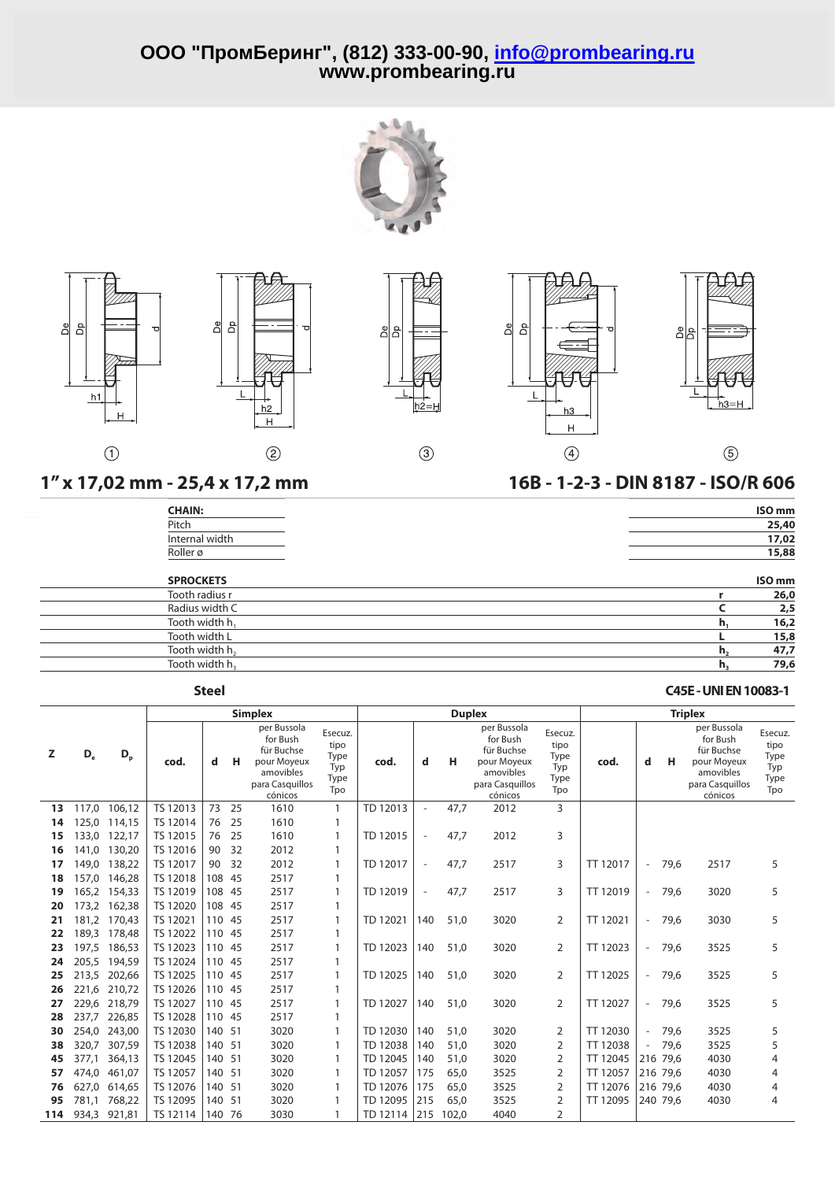![](_page_4_Picture_1.jpeg)

![](_page_4_Figure_2.jpeg)

| <b>CHAIN:</b>  | ISO <sub>mm</sub> |
|----------------|-------------------|
| Pitch          | 25,40             |
| Internal width | 17,02             |
| Roller ø       | 15,88             |
|                |                   |

| Roller ø<br><b>SPROCKETS</b><br>Tooth radius r<br>Radius width C<br>Tooth width h <sub>1</sub><br>Tooth width L |         | 15,88             |
|-----------------------------------------------------------------------------------------------------------------|---------|-------------------|
|                                                                                                                 |         | ISO <sub>mm</sub> |
|                                                                                                                 |         | 26,0              |
|                                                                                                                 |         | 2,5               |
|                                                                                                                 | $n_{1}$ | 16,2              |
|                                                                                                                 |         | 15,8              |
| Tooth width h <sub>2</sub>                                                                                      | h,      | 47,7              |
| Tooth width h,                                                                                                  | h,      | 79,6              |
|                                                                                                                 |         |                   |

## **Steel C45E-UNIEN10083-1**

 $\circledS$ 

|     |                |              |          |        |     | <b>Simplex</b>                                                                                  |                                               |          |                          | <b>Duplex</b> |                                                                                                 |                                               | <b>Triplex</b> |                          |          |                                                                                                 |                                               |  |
|-----|----------------|--------------|----------|--------|-----|-------------------------------------------------------------------------------------------------|-----------------------------------------------|----------|--------------------------|---------------|-------------------------------------------------------------------------------------------------|-----------------------------------------------|----------------|--------------------------|----------|-------------------------------------------------------------------------------------------------|-----------------------------------------------|--|
| z   | D <sub>e</sub> | $D_{p}$      | cod.     | d      | н   | per Bussola<br>for Bush<br>für Buchse<br>pour Moyeux<br>amovibles<br>para Casquillos<br>cónicos | Esecuz.<br>tipo<br>Type<br>Typ<br>Type<br>Tpo | cod.     | d                        | н             | per Bussola<br>for Bush<br>für Buchse<br>pour Moyeux<br>amovibles<br>para Casquillos<br>cónicos | Esecuz.<br>tipo<br>Type<br>Typ<br>Type<br>Tpo | cod.           | d                        | н        | per Bussola<br>for Bush<br>für Buchse<br>pour Moyeux<br>amovibles<br>para Casquillos<br>cónicos | Esecuz.<br>tipo<br>Type<br>Typ<br>Type<br>Tpo |  |
| 13  | 117,0          | 106,12       | TS 12013 | 73     | 25  | 1610                                                                                            | $\mathbf{1}$                                  | TD 12013 | $\overline{a}$           | 47,7          | 2012                                                                                            | 3                                             |                |                          |          |                                                                                                 |                                               |  |
| 14  | 125.0          | 114,15       | TS 12014 | 76     | 25  | 1610                                                                                            | $\mathbf{1}$                                  |          |                          |               |                                                                                                 |                                               |                |                          |          |                                                                                                 |                                               |  |
| 15  | 133,0          | 122,17       | TS 12015 | 76     | 25  | 1610                                                                                            | 1                                             | TD 12015 | $\overline{\phantom{a}}$ | 47,7          | 2012                                                                                            | 3                                             |                |                          |          |                                                                                                 |                                               |  |
| 16  | 141,0          | 130,20       | TS 12016 | 90     | 32  | 2012                                                                                            |                                               |          |                          |               |                                                                                                 |                                               |                |                          |          |                                                                                                 |                                               |  |
| 17  | 149,0          | 138,22       | TS 12017 | 90     | 32  | 2012                                                                                            |                                               | TD 12017 | $\sim$                   | 47,7          | 2517                                                                                            | 3                                             | TT 12017       | $\overline{\phantom{a}}$ | 79,6     | 2517                                                                                            | 5                                             |  |
| 18  | 157.0          | 146,28       | TS 12018 | 108    | 45  | 2517                                                                                            |                                               |          |                          |               |                                                                                                 |                                               |                |                          |          |                                                                                                 |                                               |  |
| 19  |                | 165,2 154,33 | TS 12019 | 108    | -45 | 2517                                                                                            |                                               | TD 12019 | $\overline{\phantom{a}}$ | 47,7          | 2517                                                                                            | 3                                             | TT 12019       |                          | - 79,6   | 3020                                                                                            | 5                                             |  |
| 20  |                | 173,2 162,38 | TS 12020 | 108    | -45 | 2517                                                                                            |                                               |          |                          |               |                                                                                                 |                                               |                |                          |          |                                                                                                 |                                               |  |
| 21  |                | 181,2 170,43 | TS 12021 | 110 45 |     | 2517                                                                                            |                                               | TD 12021 | 140                      | 51,0          | 3020                                                                                            | 2                                             | TT 12021       | $\overline{\phantom{a}}$ | 79,6     | 3030                                                                                            | 5                                             |  |
| 22  |                | 189,3 178,48 | TS 12022 | 110    | -45 | 2517                                                                                            | $\mathbf{1}$                                  |          |                          |               |                                                                                                 |                                               |                |                          |          |                                                                                                 |                                               |  |
| 23  | 197.5          | 186,53       | TS 12023 | 110    | -45 | 2517                                                                                            |                                               | TD 12023 | 140                      | 51.0          | 3020                                                                                            | $\overline{2}$                                | TT 12023       | $\overline{\phantom{m}}$ | 79.6     | 3525                                                                                            | 5                                             |  |
| 24  | 205.5          | 194,59       | TS 12024 | 110    | -45 | 2517                                                                                            |                                               |          |                          |               |                                                                                                 |                                               |                |                          |          |                                                                                                 |                                               |  |
| 25  | 213,5          | 202,66       | TS 12025 | 110    | -45 | 2517                                                                                            |                                               | TD 12025 | 140                      | 51,0          | 3020                                                                                            | 2                                             | TT 12025       | $\overline{\phantom{a}}$ | 79,6     | 3525                                                                                            | 5                                             |  |
| 26  | 221,6          | 210,72       | TS 12026 | 110    | -45 | 2517                                                                                            |                                               |          |                          |               |                                                                                                 |                                               |                |                          |          |                                                                                                 |                                               |  |
| 27  | 229,6          | 218,79       | TS 12027 | 110    | -45 | 2517                                                                                            |                                               | TD 12027 | 140                      | 51,0          | 3020                                                                                            | $\overline{2}$                                | TT 12027       | $\overline{\phantom{a}}$ | 79.6     | 3525                                                                                            | 5                                             |  |
| 28  | 237.7          | 226,85       | TS 12028 | 110 45 |     | 2517                                                                                            |                                               |          |                          |               |                                                                                                 |                                               |                |                          |          |                                                                                                 |                                               |  |
| 30  | 254,0          | 243,00       | TS 12030 | 140 51 |     | 3020                                                                                            |                                               | TD 12030 | 140                      | 51,0          | 3020                                                                                            | 2                                             | TT 12030       | $\overline{\phantom{a}}$ | 79,6     | 3525                                                                                            | 5                                             |  |
| 38  | 320,7          | 307,59       | TS 12038 | 140 51 |     | 3020                                                                                            |                                               | TD 12038 | 140                      | 51,0          | 3020                                                                                            | 2                                             | TT 12038       |                          | 79,6     | 3525                                                                                            | 5                                             |  |
| 45  | 377,1          | 364,13       | TS 12045 | 140    | -51 | 3020                                                                                            | $\mathbf{1}$                                  | TD 12045 | 140                      | 51,0          | 3020                                                                                            | 2                                             | TT 12045       |                          | 216 79.6 | 4030                                                                                            | 4                                             |  |
| 57  | 474,0          | 461,07       | TS 12057 | 140    | -51 | 3020                                                                                            |                                               | TD 12057 | 175                      | 65,0          | 3525                                                                                            | 2                                             | TT 12057       |                          | 216 79.6 | 4030                                                                                            | 4                                             |  |
| 76  | 627,0          | 614,65       | TS 12076 | 140    | -51 | 3020                                                                                            |                                               | TD 12076 | 175                      | 65,0          | 3525                                                                                            | 2                                             | TT 12076       |                          | 216 79.6 | 4030                                                                                            | 4                                             |  |
| 95  | 781,1          | 768,22       | TS 12095 | 140    | -51 | 3020                                                                                            |                                               | TD 12095 | 215                      | 65,0          | 3525                                                                                            | 2                                             | TT 12095       |                          | 240 79.6 | 4030                                                                                            | 4                                             |  |
| 114 | 934,3          | 921,81       | TS 12114 | 140    | 76  | 3030                                                                                            |                                               | TD 12114 | 215                      | 102,0         | 4040                                                                                            | 2                                             |                |                          |          |                                                                                                 |                                               |  |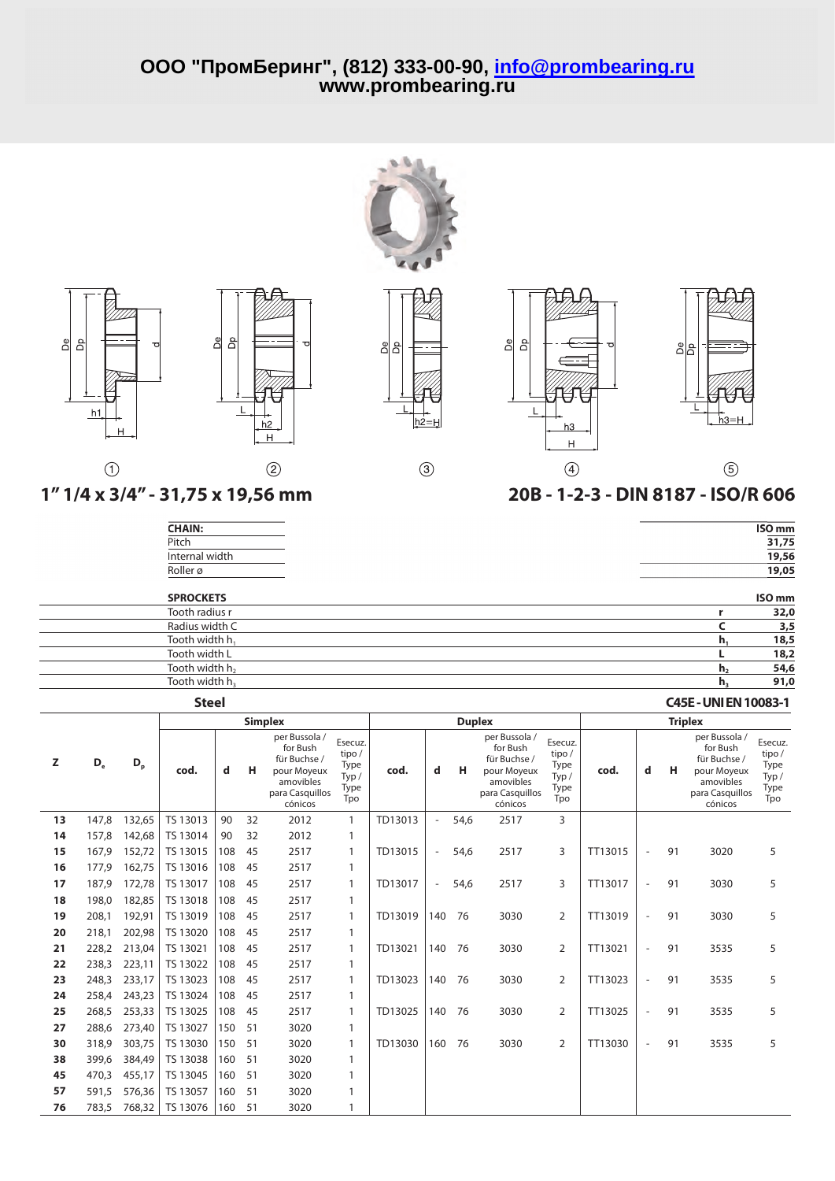![](_page_5_Picture_1.jpeg)

![](_page_5_Figure_2.jpeg)

 $\circled{3}$ 

![](_page_5_Figure_3.jpeg)

![](_page_5_Figure_4.jpeg)

 $(5)$ 

| ISO <sub>mm</sub> |
|-------------------|
| 31,75             |
| 19,56             |
| 19,05             |
|                   |

## Roller ø **19,05 SPROCKETS ISO mm** Tooth radius r<br>
Radius width C<br> **c** 3,5 Radius width C **C 3,5** Tooth width h<sub>1</sub> **h<sub>1</sub> 18,5**<br>Tooth width L **h**<sub>1</sub> **18,7** Tooth width L **L 18,2**  $\mathsf{Tooth}$  width  $\mathsf{h}_2$  **54,6 h** $\mathsf{h}_2$  **54,6** Tooth width h<sup>3</sup> **h<sup>3</sup> 91,0**

## **Steel C45E-UNIEN10083-1**

|    |                           |         |          |     |    | <b>Simplex</b>                                                                                      |                                                  |         |                          | <b>Duplex</b> |                                                                                                     |                                                 | <b>Triplex</b> |                          |    |                                                                                                     |                                                 |
|----|---------------------------|---------|----------|-----|----|-----------------------------------------------------------------------------------------------------|--------------------------------------------------|---------|--------------------------|---------------|-----------------------------------------------------------------------------------------------------|-------------------------------------------------|----------------|--------------------------|----|-----------------------------------------------------------------------------------------------------|-------------------------------------------------|
| z  | $\mathsf{D}_{\mathrm{e}}$ | $D_{p}$ | cod.     | d   | н  | per Bussola /<br>for Bush<br>für Buchse /<br>pour Moyeux<br>amovibles<br>para Casquillos<br>cónicos | Esecuz.<br>tipo/<br>Type<br>Type/<br>Type<br>Tpo | cod.    | d                        | н             | per Bussola /<br>for Bush<br>für Buchse /<br>pour Moyeux<br>amovibles<br>para Casquillos<br>cónicos | Esecuz.<br>tipo/<br>Type<br>Typ/<br>Type<br>Tpo | cod.           | d                        | н  | per Bussola /<br>for Bush<br>für Buchse /<br>pour Moyeux<br>amovibles<br>para Casquillos<br>cónicos | Esecuz.<br>tipo/<br>Type<br>Typ/<br>Type<br>Tpo |
| 13 | 147,8                     | 132,65  | TS 13013 | 90  | 32 | 2012                                                                                                | $\mathbf{1}$                                     | TD13013 | $\overline{\phantom{a}}$ | 54,6          | 2517                                                                                                | 3                                               |                |                          |    |                                                                                                     |                                                 |
| 14 | 157,8                     | 142,68  | TS 13014 | 90  | 32 | 2012                                                                                                |                                                  |         |                          |               |                                                                                                     |                                                 |                |                          |    |                                                                                                     |                                                 |
| 15 | 167,9                     | 152,72  | TS 13015 | 108 | 45 | 2517                                                                                                |                                                  | TD13015 | $\overline{\phantom{a}}$ | 54,6          | 2517                                                                                                | 3                                               | TT13015        | $\overline{\phantom{a}}$ | 91 | 3020                                                                                                | 5                                               |
| 16 | 177,9                     | 162,75  | TS 13016 | 108 | 45 | 2517                                                                                                |                                                  |         |                          |               |                                                                                                     |                                                 |                |                          |    |                                                                                                     |                                                 |
| 17 | 187.9                     | 172,78  | TS 13017 | 108 | 45 | 2517                                                                                                |                                                  | TD13017 | $\overline{\phantom{a}}$ | 54,6          | 2517                                                                                                | 3                                               | TT13017        | $\sim$                   | 91 | 3030                                                                                                | 5                                               |
| 18 | 198,0                     | 182,85  | TS 13018 | 108 | 45 | 2517                                                                                                |                                                  |         |                          |               |                                                                                                     |                                                 |                |                          |    |                                                                                                     |                                                 |
| 19 | 208.1                     | 192.91  | TS 13019 | 108 | 45 | 2517                                                                                                |                                                  | TD13019 | 140                      | 76            | 3030                                                                                                | 2                                               | TT13019        | $\overline{\phantom{a}}$ | 91 | 3030                                                                                                | 5                                               |
| 20 | 218,1                     | 202,98  | TS 13020 | 108 | 45 | 2517                                                                                                |                                                  |         |                          |               |                                                                                                     |                                                 |                |                          |    |                                                                                                     |                                                 |
| 21 | 228,2                     | 213,04  | TS 13021 | 108 | 45 | 2517                                                                                                |                                                  | TD13021 | 140                      | 76            | 3030                                                                                                | 2                                               | TT13021        | $\overline{\phantom{a}}$ | 91 | 3535                                                                                                | 5                                               |
| 22 | 238,3                     | 223,11  | TS 13022 | 108 | 45 | 2517                                                                                                |                                                  |         |                          |               |                                                                                                     |                                                 |                |                          |    |                                                                                                     |                                                 |
| 23 | 248,3                     | 233,17  | TS 13023 | 108 | 45 | 2517                                                                                                |                                                  | TD13023 | 140                      | 76            | 3030                                                                                                | 2                                               | TT13023        | $\overline{\phantom{a}}$ | 91 | 3535                                                                                                | 5                                               |
| 24 | 258,4                     | 243,23  | TS 13024 | 108 | 45 | 2517                                                                                                |                                                  |         |                          |               |                                                                                                     |                                                 |                |                          |    |                                                                                                     |                                                 |
| 25 | 268,5                     | 253,33  | TS 13025 | 108 | 45 | 2517                                                                                                |                                                  | TD13025 | 140                      | 76            | 3030                                                                                                | 2                                               | TT13025        | $\overline{\phantom{a}}$ | 91 | 3535                                                                                                | 5                                               |
| 27 | 288,6                     | 273,40  | TS 13027 | 150 | 51 | 3020                                                                                                |                                                  |         |                          |               |                                                                                                     |                                                 |                |                          |    |                                                                                                     |                                                 |
| 30 | 318,9                     | 303,75  | TS 13030 | 150 | 51 | 3020                                                                                                |                                                  | TD13030 | 160                      | 76            | 3030                                                                                                | 2                                               | TT13030        | $\overline{\phantom{a}}$ | 91 | 3535                                                                                                | 5                                               |
| 38 | 399,6                     | 384,49  | TS 13038 | 160 | 51 | 3020                                                                                                |                                                  |         |                          |               |                                                                                                     |                                                 |                |                          |    |                                                                                                     |                                                 |
| 45 | 470,3                     | 455,17  | TS 13045 | 160 | 51 | 3020                                                                                                |                                                  |         |                          |               |                                                                                                     |                                                 |                |                          |    |                                                                                                     |                                                 |
| 57 | 591,5                     | 576,36  | TS 13057 | 160 | 51 | 3020                                                                                                |                                                  |         |                          |               |                                                                                                     |                                                 |                |                          |    |                                                                                                     |                                                 |
| 76 | 783,5                     | 768,32  | TS 13076 | 160 | 51 | 3020                                                                                                |                                                  |         |                          |               |                                                                                                     |                                                 |                |                          |    |                                                                                                     |                                                 |

![](_page_5_Figure_12.jpeg)

 $\odot$ 

# **1"1/4 x 3/4" - 31,75 x 19,56 mm 20B - 1-2-3 - DIN 8187 - ISO/R 606**

| <b>CHAIN:</b>  | ISO <sub>mm</sub> |
|----------------|-------------------|
| Pitch          | 31,75             |
| Internal width | 19,56             |
| Roller ø       | 19,05             |

 $h2$ 

 $H$ 

 $(2)$